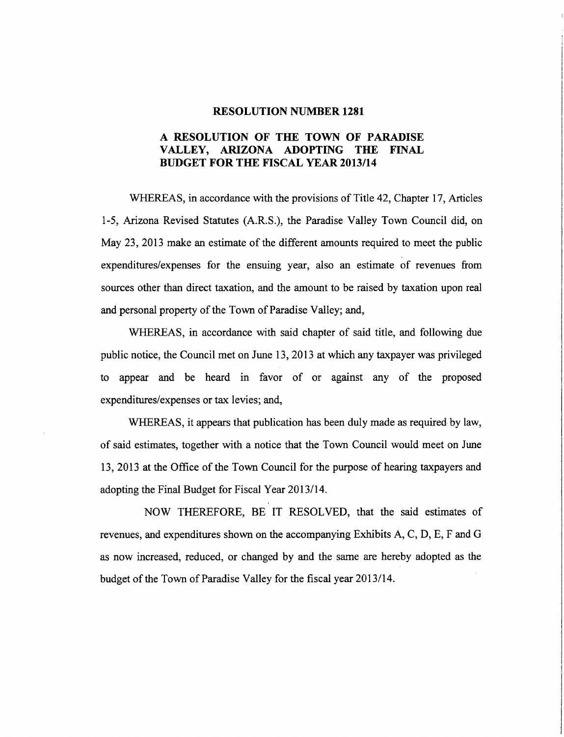#### RESOLUTION NUMBER 1281

### A RESOLUTION OF THE TOWN OF PARADISE VALLEY, ARIZONA ADOPTING THE FINAL BUDGET FOR THE FISCAL YEAR 2013/14

WHEREAS, in accordance with the provisions of Title 42, Chapter 17, Articles 1-5, Arizona Revised Statutes (A.R.S.), the Paradise Valley Town Council did, on May 23, 2013 make an estimate of the different amounts required to meet the public expenditures/expenses for the ensuing year, also an estimate of revenues from sources other than direct taxation, and the amount to be raised by taxation upon real and personal property of the Town of Paradise Valley; and,

WHEREAS, in accordance with said chapter of said title, and following due public notice, the Council met on June 13,2013 at which any taxpayer was privileged to appear and be heard in favor of or against any of the proposed expenditures/expenses or tax levies; and,

WHEREAS, it appears that publication has been duly made as required by law, of said estimates, together with a notice that the Town Council would meet on June 13, 2013 at the Office of the Town Council for the purpose of hearing taxpayers and adopting the Final Budget for Fiscal Year 2013/14.

NOW THEREFORE, BE IT RESOLVED, that the said estimates of revenues, and expenditures shown on the accompanying Exhibits A, C, D, E, F and G as now increased, reduced, or changed by and the same are hereby adopted as the budget of the Town of Paradise Valley for the fiscal year 2013/14.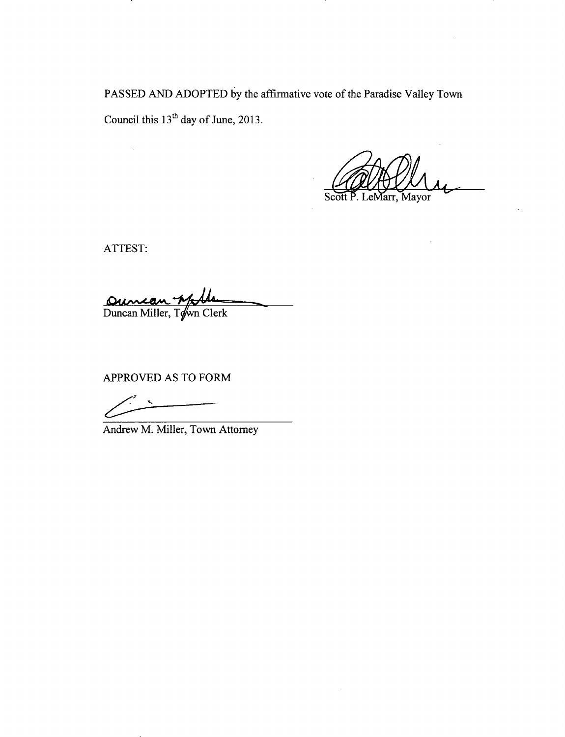PASSED AND ADOPTED by the affirmative vote of the Paradise Valley Town Council this  $13<sup>th</sup>$  day of June, 2013.

Tarr, Mayor

ATTEST:

 $\mathcal{A}^{\mathcal{A}}$ 

Oumean Willer, Town Clerk

APPROVED AS TO FORM

 $\bar{\mathbf{x}}_s$ 

Andrew M. Miller, Town Attorney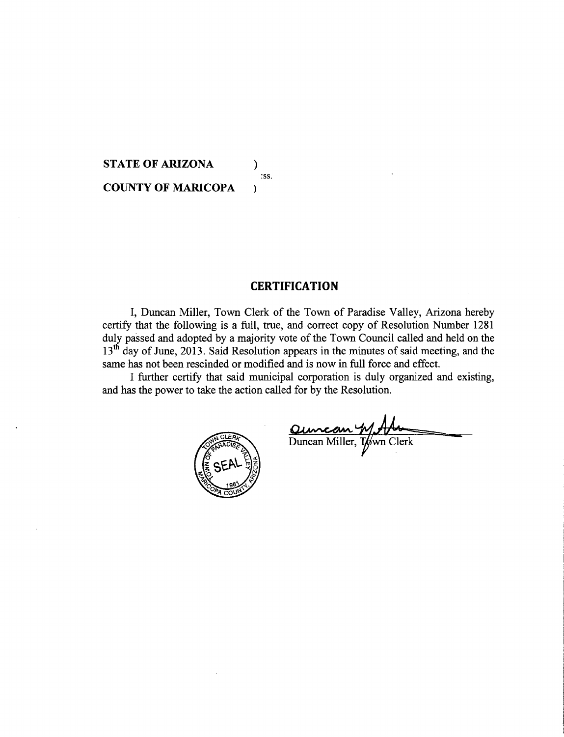**STATE OF ARIZONA )**  :ss. **COUNTY OF MARICOPA )** 

#### **CERTIFICATION**

I, Duncan Miller, Town Clerk of the Town of Paradise Valley, Arizona hereby certify that the following is a full, true, and correct copy of Resolution Number 1281 duly passed and adopted by a majority vote of the Town Council called and held on the 13<sup>th</sup> day of June, 2013. Said Resolution appears in the minutes of said meeting, and the same has not been rescinded or modified and is now in full force and effect.

I further certify that said municipal corporation is duly organized and existing, and has the power to take the action called for by the Resolution.



Quincan W Ale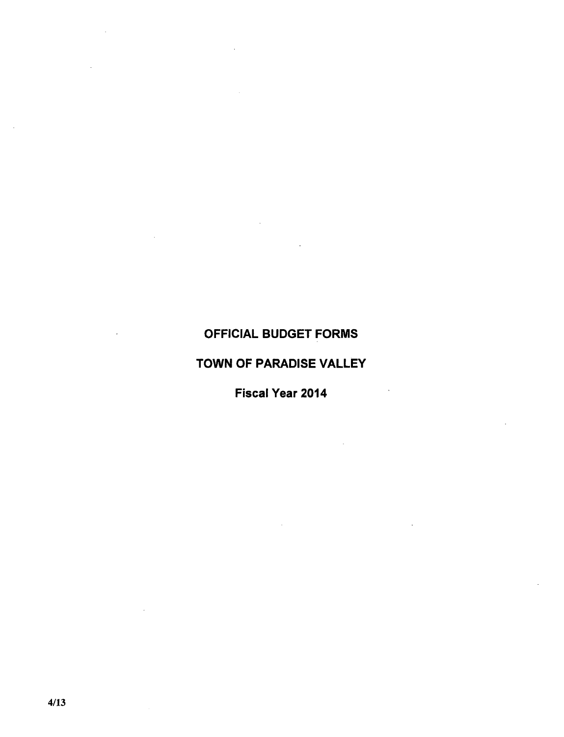# OFFICIAL BUDGET FORMS

 $\ddot{\phantom{a}}$ 

# TOWN OF PARADISE VALLEY

Fiscal Year 2014

 $\sim 10^{-10}$ 

 $\ddot{\phantom{a}}$ 

 $\bar{z}$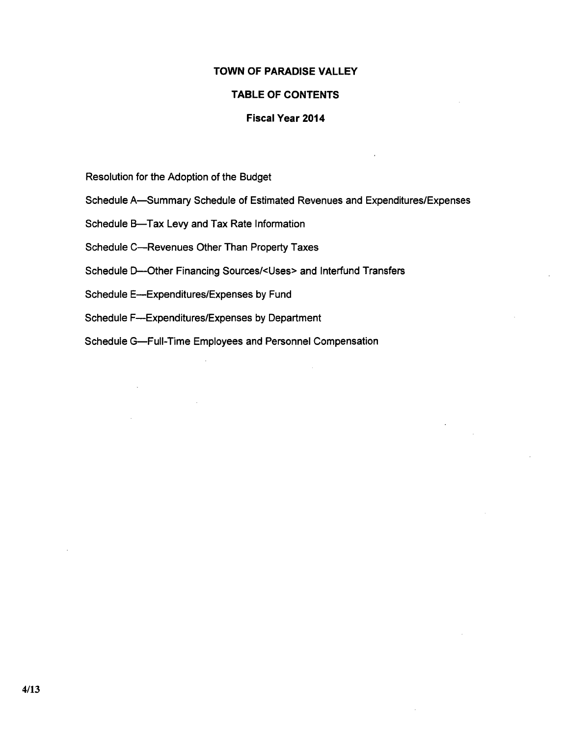### **TOWN OF PARADISE VALLEY**

#### **TABLE OF CONTENTS**

#### **Fiscal Year 2014**

Resolution for the Adoption of the Budget

Schedule A-Summary Schedule of Estimated Revenues and Expenditures/Expenses

Schedule B-Tax Levy and Tax Rate Information

Schedule C--Revenues Other Than Property Taxes

ScheduleD-Other Financing Sources/<Uses> and Interfund Transfers

Schedule E-Expenditures/Expenses by Fund

 $\mathbb{R}^2$ 

Schedule F---Expenditures/Expenses by Department

Schedule G-Full-Time Employees and Personnel Compensation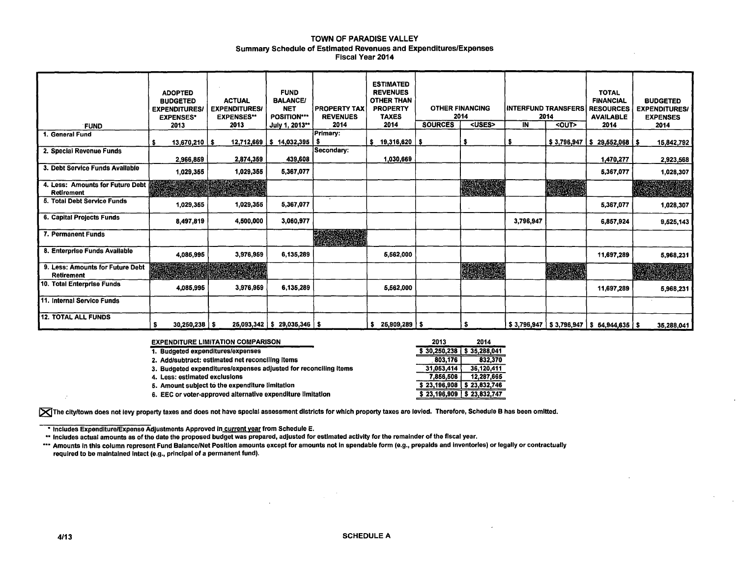#### TOWN OF PARADISE VALLEY Summary Schedule of Estimated Revenues and Expenditures/Expenses Fiscal Year 2014

| <b>FUND</b>                                           | <b>ADOPTED</b><br><b>BUDGETED</b><br><b>EXPENDITURES</b><br><b>EXPENSES*</b><br>2013 | <b>ACTUAL</b><br><b>EXPENDITURES/</b><br><b>EXPENSES**</b><br>2013 | <b>FUND</b><br><b>BALANCE/</b><br><b>NET</b><br><b>POSITION***</b><br>July 1, 2013** | <b>PROPERTY TAX</b><br><b>REVENUES</b><br>2014 | <b>ESTIMATED</b><br><b>REVENUES</b><br><b>OTHER THAN</b><br><b>PROPERTY</b><br><b>TAXES</b><br>2014 | <b>SOURCES</b> | <b>OTHER FINANCING</b><br>2014<br><uses></uses> | ÎN        | <b>INTERFUND TRANSFERS</b><br>2014<br>$\overline{C}$ | <b>TOTAL</b><br><b>FINANCIAL</b><br><b>RESOURCES</b><br><b>AVAILABLE</b><br>2014 | <b>BUDGETED</b><br><b>EXPENDITURES/</b><br><b>EXPENSES</b><br>2014 |
|-------------------------------------------------------|--------------------------------------------------------------------------------------|--------------------------------------------------------------------|--------------------------------------------------------------------------------------|------------------------------------------------|-----------------------------------------------------------------------------------------------------|----------------|-------------------------------------------------|-----------|------------------------------------------------------|----------------------------------------------------------------------------------|--------------------------------------------------------------------|
| 1. General Fund                                       |                                                                                      |                                                                    |                                                                                      | Primary:                                       |                                                                                                     |                |                                                 |           |                                                      |                                                                                  |                                                                    |
|                                                       | $13,670,210$   \$                                                                    |                                                                    | $12,712,669$   \$ $14,032,395$   \$                                                  |                                                | $$19,316,620$ \\$                                                                                   |                |                                                 | s.        | \$3,796,947                                          | $\frac{1}{2}$ 29,552,068   \$                                                    | 15,842,792                                                         |
| 2. Special Revenue Funds                              | 2,966,859                                                                            | 2,874,359                                                          | 439,608                                                                              | Secondary:                                     | 1,030,669                                                                                           |                |                                                 |           |                                                      | 1,470,277                                                                        | 2,923,568                                                          |
| 3. Debt Service Funds Available                       | 1,029,355                                                                            | 1,029,355                                                          | 5,367,077                                                                            |                                                |                                                                                                     |                |                                                 |           |                                                      | 5,367,077                                                                        | 1,028,307                                                          |
| 4. Less: Amounts for Future Debt<br>Retirement        |                                                                                      |                                                                    |                                                                                      |                                                |                                                                                                     |                |                                                 |           |                                                      |                                                                                  |                                                                    |
| 5. Total Debt Service Funds                           | 1,029,355                                                                            | 1,029,355                                                          | 5,367,077                                                                            |                                                |                                                                                                     |                |                                                 |           |                                                      | 5,367,077                                                                        | 1,028,307                                                          |
| 6. Capital Projects Funds                             | 8,497,819                                                                            | 4,500,000                                                          | 3,060,977                                                                            |                                                |                                                                                                     |                |                                                 | 3.796.947 |                                                      | 6,857,924                                                                        | 9,525,143                                                          |
| 7. Permanent Funds                                    |                                                                                      |                                                                    |                                                                                      |                                                |                                                                                                     |                |                                                 |           |                                                      |                                                                                  |                                                                    |
| 8. Enterprise Funds Available                         | 4,085,995                                                                            | 3,976,959                                                          | 6,135,289                                                                            |                                                | 5,562,000                                                                                           |                |                                                 |           |                                                      | 11,697,289                                                                       | 5,968,231                                                          |
| 9. Less: Amounts for Future Debt<br><b>Retirement</b> |                                                                                      |                                                                    |                                                                                      |                                                |                                                                                                     |                |                                                 |           |                                                      |                                                                                  |                                                                    |
| 10. Total Enterprise Funds                            | 4,085,995                                                                            | 3,976,959                                                          | 6,135,289                                                                            |                                                | 5,562,000                                                                                           |                |                                                 |           |                                                      | 11,697,289                                                                       | 5,968,231                                                          |
| 11. Internal Service Funds                            |                                                                                      |                                                                    |                                                                                      |                                                |                                                                                                     |                |                                                 |           |                                                      |                                                                                  |                                                                    |
| <b>12. TOTAL ALL FUNDS</b>                            | $30,250,238$   \$<br>\$                                                              |                                                                    | $25,093,342$   \$ 29,035,346   \$                                                    |                                                | $$26,909,289$ \ \$                                                                                  |                |                                                 |           |                                                      | $\frac{1}{2}$ \$3,796,947   \$3,796,947   \$54,944,635   \$                      | 35,288,041                                                         |

| <b>EXPENDITURE LIMITATION COMPARISON</b>                         | 2013         | 2014         |
|------------------------------------------------------------------|--------------|--------------|
| 1. Budgeted expenditures/expenses                                | \$30,250,238 | \$35,288,041 |
| 2. Add/subtract: estimated net reconciling items                 | 803.176      | 832.370      |
| 3. Budgeted expenditures/expenses adjusted for reconciling items | 31,053,414   | 36,120,411   |
| 4. Less: estimated exclusions                                    | 7,856,506    | 12,287,665   |
| 5. Amount subject to the expenditure limitation                  | \$23,196,908 | \$23,832,746 |
| 6. EEC or voter-approved alternative expenditure limitation      | \$23,196,909 | \$23,832,747 |

**IX** The city/town does not levy property taxes and does not have special assessment districts for which property taxes are levied. Therefore, Schedule B has been omitted.

\* Includes Expenditure/Expense Adjustments Approved in current year from Schedule E.

\*\* Includes actual amounts as of the date the proposed budget was prepared, adjusted for estimated activity for the remainder of the fiscal year.

\*\*\* Amounts in this column represent Fund Balance/Net Position amounts except for amounts not in spendable form (e.g., prepaids and inventories) or legally or contractually required to be maintained Intact (e.g., principal of a permanent fund).

 $\sim$   $\sim$ 

 $\mathcal{L}$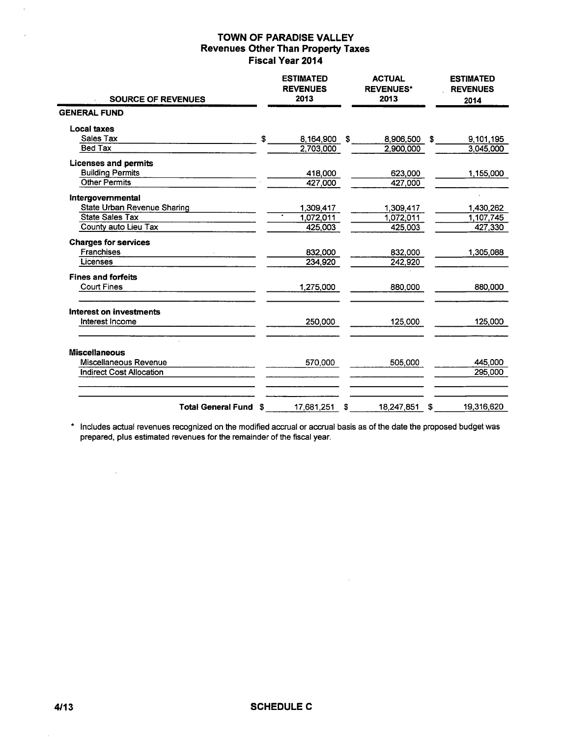| <b>SOURCE OF REVENUES</b>       |     | <b>ESTIMATED</b><br><b>REVENUES</b><br>2013 |    | <b>ACTUAL</b><br><b>REVENUES*</b><br>2013 |    | <b>ESTIMATED</b><br><b>REVENUES</b><br>2014 |
|---------------------------------|-----|---------------------------------------------|----|-------------------------------------------|----|---------------------------------------------|
| <b>GENERAL FUND</b>             |     |                                             |    |                                           |    |                                             |
| <b>Local taxes</b>              |     |                                             |    |                                           |    |                                             |
| Sales Tax                       | \$  | 8,164,900                                   | S. | 8,906,500                                 | S  | 9,101,195                                   |
| <b>Bed Tax</b>                  |     | 2,703,000                                   |    | 2,900,000                                 |    | 3,045,000                                   |
| <b>Licenses and permits</b>     |     |                                             |    |                                           |    |                                             |
| <b>Building Permits</b>         |     | 418,000                                     |    | 623,000                                   |    | 1,155,000                                   |
| <b>Other Permits</b>            |     | 427,000                                     |    | 427,000                                   |    |                                             |
| Intergovernmental               |     |                                             |    |                                           |    |                                             |
| State Urban Revenue Sharing     |     | 1.309.417                                   |    | 1,309,417                                 |    | 1,430,262                                   |
| <b>State Sales Tax</b>          |     | 1,072,011                                   |    | 1,072,011                                 |    | 1,107,745                                   |
| County auto Lieu Tax            |     | 425,003                                     |    | 425,003                                   |    | 427,330                                     |
| <b>Charges for services</b>     |     |                                             |    |                                           |    |                                             |
| Franchises                      |     | 832,000                                     |    | 832,000                                   |    | 1,305,088                                   |
| Licenses                        |     | 234,920                                     |    | 242,920                                   |    |                                             |
| <b>Fines and forfeits</b>       |     |                                             |    |                                           |    |                                             |
| <b>Court Fines</b>              |     | 1,275,000                                   |    | 880,000                                   |    | 880,000                                     |
| Interest on investments         |     |                                             |    |                                           |    |                                             |
| Interest Income                 |     | 250,000                                     |    | 125,000                                   |    | 125,000                                     |
| <b>Miscellaneous</b>            |     |                                             |    |                                           |    |                                             |
| Miscellaneous Revenue           |     | 570,000                                     |    | 505,000                                   |    | 445,000                                     |
| <b>Indirect Cost Allocation</b> |     |                                             |    |                                           |    | 295,000                                     |
|                                 |     |                                             |    |                                           |    |                                             |
| <b>Total General Fund</b>       | -\$ | 17,681,251                                  | \$ | 18,247,851                                | \$ | 19,316,620                                  |

\* Includes actual revenues recognized on the modified accrual or accrual basis as of the date the proposed budget was prepared, plus estimated revenues for the remainder of the fiscal year.

 $\sim$ 

 $\mathcal{A}^{\pm}$ 

 $\ddot{\phantom{a}}$ 

 $\ddot{\phantom{a}}$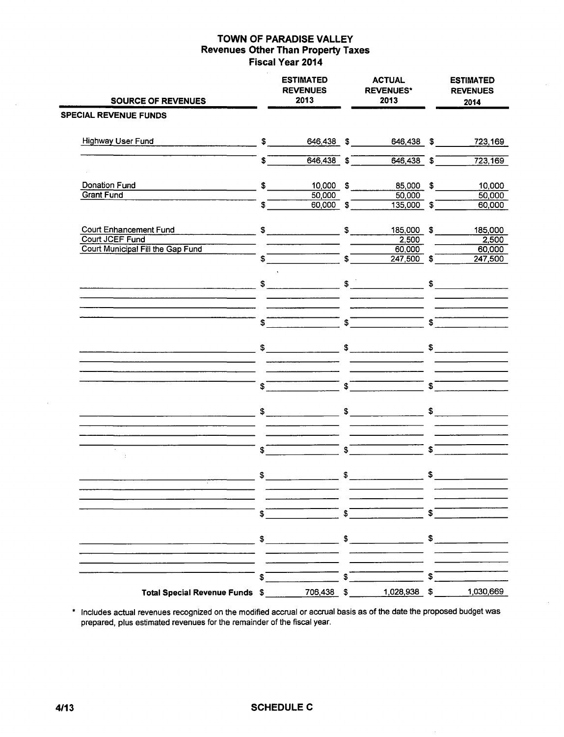| <b>SOURCE OF REVENUES</b>                                                               |                               | <b>ESTIMATED</b><br><b>REVENUES</b><br>2013 |                                | <b>ACTUAL</b><br><b>REVENUES*</b><br>2013 |                | <b>ESTIMATED</b><br><b>REVENUES</b><br>2014 |
|-----------------------------------------------------------------------------------------|-------------------------------|---------------------------------------------|--------------------------------|-------------------------------------------|----------------|---------------------------------------------|
| <b>SPECIAL REVENUE FUNDS</b>                                                            |                               |                                             |                                |                                           |                |                                             |
| <b>Highway User Fund</b>                                                                | $$^{\circ}$                   | 646,438 \$                                  |                                | 646,438 \$                                |                | 723,169                                     |
|                                                                                         | \$                            | $646,438$ \$                                |                                | $646,438$ \$                              |                | 723,169                                     |
| Donation Fund                                                                           | $\mathsf{\$}$                 | 10,000 \$                                   |                                | 85,000 \$                                 |                | 10,000                                      |
| <b>Grant Fund</b>                                                                       | $\boldsymbol{\mathfrak{s}}^-$ | 50,000<br>$60,000$ \$                       |                                | 50,000<br>$135,000$ \$                    |                | 50,000<br>60,000                            |
| Court Enhancement Fund                                                                  |                               | $$\overbrace{\hspace{2.5cm}}$               | \$                             | 185,000 \$                                |                | 185,000                                     |
| Court JCEF Fund<br>Court Municipal Fill the Gap Fund                                    |                               |                                             |                                | 2,500<br>60,000                           |                | 2,500<br>60,000                             |
|                                                                                         | $\sqrt{2}$                    |                                             | $\boldsymbol{s}^-$             | $247,500$ \$                              |                | 247,500                                     |
| <u> Alexandro de la contrada de la contrada de la contrada de la contrada de la con</u> |                               | $\frac{1}{2}$                               |                                | $\frac{1}{2}$                             |                | $\frac{1}{2}$                               |
|                                                                                         | $\boldsymbol{s}^-$            |                                             | $\overline{\mathbf{s}}$        |                                           | $\mathsf{s}^-$ |                                             |
|                                                                                         |                               |                                             |                                |                                           |                |                                             |
|                                                                                         | $\int$                        |                                             | $\overline{\bullet}$           |                                           | $\mathbf S$    |                                             |
|                                                                                         |                               | $\frac{1}{2}$                               |                                | $\frac{1}{2}$                             |                | $\frac{1}{2}$                               |
| $\lambda$                                                                               |                               |                                             |                                |                                           | \$             |                                             |
| ÷                                                                                       | $\boldsymbol{\mathfrak{s}}$   |                                             | $\overline{\mathcal{S}}$<br>\$ |                                           | \$             |                                             |
|                                                                                         | \$                            |                                             |                                |                                           |                |                                             |
|                                                                                         | \$                            |                                             | S                              |                                           | \$             |                                             |
|                                                                                         | \$                            |                                             |                                | $\sim$                                    | \$             |                                             |
|                                                                                         | \$                            |                                             | \$                             |                                           | \$             |                                             |
| Total Special Revenue Funds \$ 706,438 \$                                               |                               |                                             |                                | $1,028,938$ \$                            |                | 1,030,669                                   |

• Includes actual revenues recognized on the modified accrual or accrual basis as of the date the proposed budget was prepared, plus estimated revenues for the remainder of the fiscal year.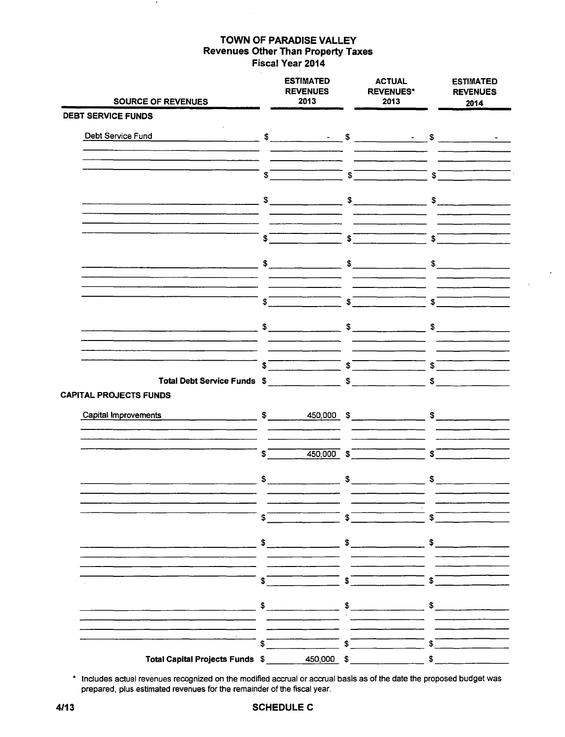| <b>SOURCE OF REVENUES</b>                                                                                                                                                                                                                                                                                                                          |                                       | <b>ESTIMATED</b><br><b>REVENUES</b><br>2013                     |         | <b>ACTUAL</b><br><b>REVENUES*</b><br>2013                                                                                                                                                                                                                                                                                                                                                                                                                                                |                                                                               | <b>ESTIMATED</b><br><b>REVENUES</b><br>2014                                                                                                                                                                                                                                                                         |
|----------------------------------------------------------------------------------------------------------------------------------------------------------------------------------------------------------------------------------------------------------------------------------------------------------------------------------------------------|---------------------------------------|-----------------------------------------------------------------|---------|------------------------------------------------------------------------------------------------------------------------------------------------------------------------------------------------------------------------------------------------------------------------------------------------------------------------------------------------------------------------------------------------------------------------------------------------------------------------------------------|-------------------------------------------------------------------------------|---------------------------------------------------------------------------------------------------------------------------------------------------------------------------------------------------------------------------------------------------------------------------------------------------------------------|
| <b>DEBT SERVICE FUNDS</b>                                                                                                                                                                                                                                                                                                                          |                                       |                                                                 |         |                                                                                                                                                                                                                                                                                                                                                                                                                                                                                          |                                                                               |                                                                                                                                                                                                                                                                                                                     |
| Debt Service Fund                                                                                                                                                                                                                                                                                                                                  |                                       |                                                                 |         |                                                                                                                                                                                                                                                                                                                                                                                                                                                                                          |                                                                               |                                                                                                                                                                                                                                                                                                                     |
|                                                                                                                                                                                                                                                                                                                                                    | $\overline{\bullet}$                  |                                                                 |         | $\sqrt{s}$                                                                                                                                                                                                                                                                                                                                                                                                                                                                               | $\overline{\mathbf{s}}$                                                       |                                                                                                                                                                                                                                                                                                                     |
|                                                                                                                                                                                                                                                                                                                                                    |                                       |                                                                 |         |                                                                                                                                                                                                                                                                                                                                                                                                                                                                                          |                                                                               |                                                                                                                                                                                                                                                                                                                     |
|                                                                                                                                                                                                                                                                                                                                                    | $\sqrt[3]{\phantom{a}^{\phantom{a}}}$ |                                                                 | $ \int$ |                                                                                                                                                                                                                                                                                                                                                                                                                                                                                          | $\overline{\phantom{a}}$ s $\overline{\phantom{a}}$                           |                                                                                                                                                                                                                                                                                                                     |
|                                                                                                                                                                                                                                                                                                                                                    |                                       | $\frac{1}{\sqrt{2}}$                                            |         | $\begin{array}{c} \n\text{S} \quad \text{S} \quad \text{S} \quad \text{S} \quad \text{S} \quad \text{S} \quad \text{S} \quad \text{S} \quad \text{S} \quad \text{S} \quad \text{S} \quad \text{S} \quad \text{S} \quad \text{S} \quad \text{S} \quad \text{S} \quad \text{S} \quad \text{S} \quad \text{S} \quad \text{S} \quad \text{S} \quad \text{S} \quad \text{S} \quad \text{S} \quad \text{S} \quad \text{S} \quad \text{S} \quad \text{S} \quad \text{S} \quad \text{S} \quad \$ |                                                                               | $\frac{1}{2}$                                                                                                                                                                                                                                                                                                       |
|                                                                                                                                                                                                                                                                                                                                                    |                                       | $\overline{\phantom{a}}$ $\overline{\phantom{a}}$<br>$\sqrt{2}$ |         |                                                                                                                                                                                                                                                                                                                                                                                                                                                                                          | $\overline{\phantom{a}}\hspace{0.1cm}$ $\overline{\phantom{a}}\hspace{0.1cm}$ |                                                                                                                                                                                                                                                                                                                     |
|                                                                                                                                                                                                                                                                                                                                                    |                                       |                                                                 |         |                                                                                                                                                                                                                                                                                                                                                                                                                                                                                          |                                                                               | $\frac{1}{2}$ $\frac{1}{2}$ $\frac{1}{2}$ $\frac{1}{2}$ $\frac{1}{2}$ $\frac{1}{2}$ $\frac{1}{2}$ $\frac{1}{2}$ $\frac{1}{2}$ $\frac{1}{2}$ $\frac{1}{2}$ $\frac{1}{2}$ $\frac{1}{2}$ $\frac{1}{2}$ $\frac{1}{2}$ $\frac{1}{2}$ $\frac{1}{2}$ $\frac{1}{2}$ $\frac{1}{2}$ $\frac{1}{2}$ $\frac{1}{2}$ $\frac{1}{2}$ |
| Total Debt Service Funds \$ \$                                                                                                                                                                                                                                                                                                                     |                                       |                                                                 |         |                                                                                                                                                                                                                                                                                                                                                                                                                                                                                          | $\overline{\mathcal{S}}$                                                      | $\sim$                                                                                                                                                                                                                                                                                                              |
| <b>CAPITAL PROJECTS FUNDS</b>                                                                                                                                                                                                                                                                                                                      |                                       |                                                                 |         |                                                                                                                                                                                                                                                                                                                                                                                                                                                                                          |                                                                               |                                                                                                                                                                                                                                                                                                                     |
| $\frac{1}{2}$ $\frac{1}{2}$ $\frac{1}{2}$ $\frac{1}{2}$ $\frac{1}{2}$ $\frac{1}{2}$ $\frac{1}{2}$ $\frac{1}{2}$ $\frac{1}{2}$ $\frac{1}{2}$ $\frac{1}{2}$ $\frac{1}{2}$ $\frac{1}{2}$ $\frac{1}{2}$ $\frac{1}{2}$ $\frac{1}{2}$ $\frac{1}{2}$ $\frac{1}{2}$ $\frac{1}{2}$ $\frac{1}{2}$ $\frac{1}{2}$ $\frac{1}{2}$<br><b>Capital Improvements</b> |                                       |                                                                 |         |                                                                                                                                                                                                                                                                                                                                                                                                                                                                                          |                                                                               |                                                                                                                                                                                                                                                                                                                     |
|                                                                                                                                                                                                                                                                                                                                                    | \$                                    | $450,000$ \$                                                    |         |                                                                                                                                                                                                                                                                                                                                                                                                                                                                                          | \$                                                                            |                                                                                                                                                                                                                                                                                                                     |
|                                                                                                                                                                                                                                                                                                                                                    |                                       |                                                                 |         | $\frac{1}{2}$ $\frac{1}{2}$ $\frac{1}{2}$ $\frac{1}{2}$ $\frac{1}{2}$ $\frac{1}{2}$ $\frac{1}{2}$ $\frac{1}{2}$ $\frac{1}{2}$ $\frac{1}{2}$ $\frac{1}{2}$ $\frac{1}{2}$ $\frac{1}{2}$ $\frac{1}{2}$ $\frac{1}{2}$ $\frac{1}{2}$ $\frac{1}{2}$ $\frac{1}{2}$ $\frac{1}{2}$ $\frac{1}{2}$ $\frac{1}{2}$ $\frac{1}{2}$                                                                                                                                                                      |                                                                               | $\frac{1}{2}$                                                                                                                                                                                                                                                                                                       |
|                                                                                                                                                                                                                                                                                                                                                    |                                       | $\sqrt[3]{\frac{1}{100}}$                                       |         |                                                                                                                                                                                                                                                                                                                                                                                                                                                                                          | ີ \$ີ                                                                         |                                                                                                                                                                                                                                                                                                                     |
|                                                                                                                                                                                                                                                                                                                                                    |                                       |                                                                 |         |                                                                                                                                                                                                                                                                                                                                                                                                                                                                                          |                                                                               | $\frac{1}{2}$ $\frac{1}{2}$ $\frac{1}{2}$ $\frac{1}{2}$ $\frac{1}{2}$ $\frac{1}{2}$ $\frac{1}{2}$ $\frac{1}{2}$ $\frac{1}{2}$ $\frac{1}{2}$ $\frac{1}{2}$ $\frac{1}{2}$ $\frac{1}{2}$ $\frac{1}{2}$ $\frac{1}{2}$ $\frac{1}{2}$ $\frac{1}{2}$ $\frac{1}{2}$ $\frac{1}{2}$ $\frac{1}{2}$ $\frac{1}{2}$ $\frac{1}{2}$ |
|                                                                                                                                                                                                                                                                                                                                                    |                                       |                                                                 |         |                                                                                                                                                                                                                                                                                                                                                                                                                                                                                          |                                                                               | $\sqrt{2}$                                                                                                                                                                                                                                                                                                          |
| <u> 1992 - Jan Berlin, maritan filmoù </u>                                                                                                                                                                                                                                                                                                         |                                       |                                                                 |         |                                                                                                                                                                                                                                                                                                                                                                                                                                                                                          |                                                                               | $\frac{1}{2}$ $\frac{1}{2}$ $\frac{1}{2}$ $\frac{1}{2}$ $\frac{1}{2}$ $\frac{1}{2}$ $\frac{1}{2}$ $\frac{1}{2}$ $\frac{1}{2}$ $\frac{1}{2}$ $\frac{1}{2}$ $\frac{1}{2}$ $\frac{1}{2}$ $\frac{1}{2}$ $\frac{1}{2}$ $\frac{1}{2}$ $\frac{1}{2}$ $\frac{1}{2}$ $\frac{1}{2}$ $\frac{1}{2}$ $\frac{1}{2}$ $\frac{1}{2}$ |
|                                                                                                                                                                                                                                                                                                                                                    | $\frac{1}{2}$                         | $\overline{\phantom{a}}$ $\overline{\phantom{a}}$               |         |                                                                                                                                                                                                                                                                                                                                                                                                                                                                                          |                                                                               | $\overline{\phantom{a}}$ $\overline{\phantom{a}}$                                                                                                                                                                                                                                                                   |
| Total Capital Projects Funds \$ 450,000 \$                                                                                                                                                                                                                                                                                                         |                                       |                                                                 |         |                                                                                                                                                                                                                                                                                                                                                                                                                                                                                          | \$                                                                            |                                                                                                                                                                                                                                                                                                                     |

 $\ddot{\phantom{0}}$ 

\* Includes actual revenues recognized on the modified accrual or accrual basis as of the date the proposed budget was prepared, plus estimated revenues for the remainder of the fiscal year.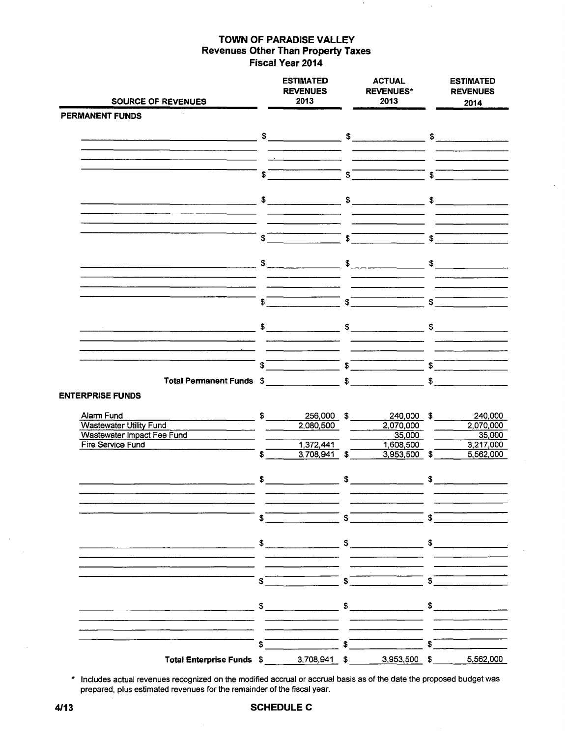| <b>SOURCE OF REVENUES</b>                                                                                                                                                                                                                                                                                                                                     |                         | <b>ESTIMATED</b><br><b>REVENUES</b><br>2013 |                             | <b>ACTUAL</b><br><b>REVENUES*</b><br>2013                                                                                                                                                                                                                                                                           |              | <b>ESTIMATED</b><br><b>REVENUES</b><br>2014                                                                                                                                                                                                                                                                         |  |  |
|---------------------------------------------------------------------------------------------------------------------------------------------------------------------------------------------------------------------------------------------------------------------------------------------------------------------------------------------------------------|-------------------------|---------------------------------------------|-----------------------------|---------------------------------------------------------------------------------------------------------------------------------------------------------------------------------------------------------------------------------------------------------------------------------------------------------------------|--------------|---------------------------------------------------------------------------------------------------------------------------------------------------------------------------------------------------------------------------------------------------------------------------------------------------------------------|--|--|
| PERMANENT FUNDS                                                                                                                                                                                                                                                                                                                                               |                         |                                             |                             |                                                                                                                                                                                                                                                                                                                     |              |                                                                                                                                                                                                                                                                                                                     |  |  |
|                                                                                                                                                                                                                                                                                                                                                               |                         |                                             |                             |                                                                                                                                                                                                                                                                                                                     |              |                                                                                                                                                                                                                                                                                                                     |  |  |
| <u>s services and contract and contract the services of the services of the services of the services of the services of the services of the services of the services of the services of the services of the services of the serv</u><br><u> 2002 - Johann Johann Stoff, deutscher Stoffen und der Stoffen und der Stoffen und der Stoffen und der Stoffen</u> |                         |                                             |                             |                                                                                                                                                                                                                                                                                                                     |              |                                                                                                                                                                                                                                                                                                                     |  |  |
|                                                                                                                                                                                                                                                                                                                                                               |                         |                                             |                             |                                                                                                                                                                                                                                                                                                                     |              |                                                                                                                                                                                                                                                                                                                     |  |  |
|                                                                                                                                                                                                                                                                                                                                                               |                         |                                             |                             | $\int$                                                                                                                                                                                                                                                                                                              |              |                                                                                                                                                                                                                                                                                                                     |  |  |
|                                                                                                                                                                                                                                                                                                                                                               |                         |                                             |                             |                                                                                                                                                                                                                                                                                                                     |              |                                                                                                                                                                                                                                                                                                                     |  |  |
|                                                                                                                                                                                                                                                                                                                                                               |                         |                                             |                             |                                                                                                                                                                                                                                                                                                                     |              |                                                                                                                                                                                                                                                                                                                     |  |  |
|                                                                                                                                                                                                                                                                                                                                                               |                         |                                             |                             |                                                                                                                                                                                                                                                                                                                     |              |                                                                                                                                                                                                                                                                                                                     |  |  |
|                                                                                                                                                                                                                                                                                                                                                               |                         |                                             |                             |                                                                                                                                                                                                                                                                                                                     |              |                                                                                                                                                                                                                                                                                                                     |  |  |
|                                                                                                                                                                                                                                                                                                                                                               |                         | $\int$                                      |                             | $\frac{1}{\sqrt{2}}$ $\frac{1}{\sqrt{2}}$                                                                                                                                                                                                                                                                           |              | $\overline{\mathbf{s}}$                                                                                                                                                                                                                                                                                             |  |  |
|                                                                                                                                                                                                                                                                                                                                                               |                         |                                             |                             |                                                                                                                                                                                                                                                                                                                     |              |                                                                                                                                                                                                                                                                                                                     |  |  |
|                                                                                                                                                                                                                                                                                                                                                               |                         |                                             |                             |                                                                                                                                                                                                                                                                                                                     |              |                                                                                                                                                                                                                                                                                                                     |  |  |
|                                                                                                                                                                                                                                                                                                                                                               |                         |                                             |                             |                                                                                                                                                                                                                                                                                                                     |              |                                                                                                                                                                                                                                                                                                                     |  |  |
|                                                                                                                                                                                                                                                                                                                                                               |                         |                                             |                             | $\frac{1}{2}$ $\frac{1}{2}$ $\frac{1}{2}$ $\frac{1}{2}$ $\frac{1}{2}$ $\frac{1}{2}$ $\frac{1}{2}$ $\frac{1}{2}$ $\frac{1}{2}$ $\frac{1}{2}$ $\frac{1}{2}$ $\frac{1}{2}$ $\frac{1}{2}$ $\frac{1}{2}$ $\frac{1}{2}$ $\frac{1}{2}$ $\frac{1}{2}$ $\frac{1}{2}$ $\frac{1}{2}$ $\frac{1}{2}$ $\frac{1}{2}$ $\frac{1}{2}$ |              |                                                                                                                                                                                                                                                                                                                     |  |  |
|                                                                                                                                                                                                                                                                                                                                                               |                         |                                             |                             |                                                                                                                                                                                                                                                                                                                     |              |                                                                                                                                                                                                                                                                                                                     |  |  |
|                                                                                                                                                                                                                                                                                                                                                               |                         |                                             |                             |                                                                                                                                                                                                                                                                                                                     |              |                                                                                                                                                                                                                                                                                                                     |  |  |
|                                                                                                                                                                                                                                                                                                                                                               |                         |                                             |                             |                                                                                                                                                                                                                                                                                                                     |              |                                                                                                                                                                                                                                                                                                                     |  |  |
|                                                                                                                                                                                                                                                                                                                                                               |                         |                                             |                             |                                                                                                                                                                                                                                                                                                                     |              |                                                                                                                                                                                                                                                                                                                     |  |  |
|                                                                                                                                                                                                                                                                                                                                                               |                         |                                             |                             |                                                                                                                                                                                                                                                                                                                     |              | $\frac{1}{2}$ $\frac{1}{2}$ $\frac{1}{2}$ $\frac{1}{2}$ $\frac{1}{2}$ $\frac{1}{2}$ $\frac{1}{2}$ $\frac{1}{2}$ $\frac{1}{2}$ $\frac{1}{2}$ $\frac{1}{2}$ $\frac{1}{2}$ $\frac{1}{2}$ $\frac{1}{2}$ $\frac{1}{2}$ $\frac{1}{2}$ $\frac{1}{2}$ $\frac{1}{2}$ $\frac{1}{2}$ $\frac{1}{2}$ $\frac{1}{2}$ $\frac{1}{2}$ |  |  |
| Total Permanent Funds \$                                                                                                                                                                                                                                                                                                                                      |                         |                                             |                             |                                                                                                                                                                                                                                                                                                                     |              | $\frac{1}{\sqrt{2}}$                                                                                                                                                                                                                                                                                                |  |  |
| <b>ENTERPRISE FUNDS</b>                                                                                                                                                                                                                                                                                                                                       |                         |                                             |                             |                                                                                                                                                                                                                                                                                                                     |              |                                                                                                                                                                                                                                                                                                                     |  |  |
|                                                                                                                                                                                                                                                                                                                                                               |                         | 256,000 \$                                  |                             | 240,000 \$                                                                                                                                                                                                                                                                                                          |              | 240,000                                                                                                                                                                                                                                                                                                             |  |  |
| Alarm Fund<br>Wastewater Utility Fund                                                                                                                                                                                                                                                                                                                         |                         | 2,080,500                                   |                             | 2,070,000                                                                                                                                                                                                                                                                                                           |              | 2,070,000                                                                                                                                                                                                                                                                                                           |  |  |
| Wastewater Impact Fee Fund<br>Fire Service Fund                                                                                                                                                                                                                                                                                                               |                         | 1,372,441                                   |                             | 35,000<br>1,608,500                                                                                                                                                                                                                                                                                                 |              | $-35,000$<br>3,217,000                                                                                                                                                                                                                                                                                              |  |  |
|                                                                                                                                                                                                                                                                                                                                                               | $\overline{\mathbf{s}}$ | $3.708,941$ \$                              |                             | $3,953,500$ \$                                                                                                                                                                                                                                                                                                      |              | 5,562,000                                                                                                                                                                                                                                                                                                           |  |  |
|                                                                                                                                                                                                                                                                                                                                                               |                         |                                             |                             |                                                                                                                                                                                                                                                                                                                     |              |                                                                                                                                                                                                                                                                                                                     |  |  |
|                                                                                                                                                                                                                                                                                                                                                               |                         |                                             |                             |                                                                                                                                                                                                                                                                                                                     |              |                                                                                                                                                                                                                                                                                                                     |  |  |
|                                                                                                                                                                                                                                                                                                                                                               |                         |                                             |                             |                                                                                                                                                                                                                                                                                                                     |              |                                                                                                                                                                                                                                                                                                                     |  |  |
|                                                                                                                                                                                                                                                                                                                                                               |                         |                                             | $\boldsymbol{\mathsf{s}}^-$ |                                                                                                                                                                                                                                                                                                                     | $\mathbf{s}$ |                                                                                                                                                                                                                                                                                                                     |  |  |
|                                                                                                                                                                                                                                                                                                                                                               | S.                      |                                             |                             |                                                                                                                                                                                                                                                                                                                     |              |                                                                                                                                                                                                                                                                                                                     |  |  |
|                                                                                                                                                                                                                                                                                                                                                               | \$                      |                                             | \$                          |                                                                                                                                                                                                                                                                                                                     |              |                                                                                                                                                                                                                                                                                                                     |  |  |
|                                                                                                                                                                                                                                                                                                                                                               |                         |                                             |                             |                                                                                                                                                                                                                                                                                                                     |              |                                                                                                                                                                                                                                                                                                                     |  |  |
|                                                                                                                                                                                                                                                                                                                                                               |                         |                                             |                             |                                                                                                                                                                                                                                                                                                                     |              |                                                                                                                                                                                                                                                                                                                     |  |  |
|                                                                                                                                                                                                                                                                                                                                                               | S                       |                                             | \$                          |                                                                                                                                                                                                                                                                                                                     |              |                                                                                                                                                                                                                                                                                                                     |  |  |
|                                                                                                                                                                                                                                                                                                                                                               |                         |                                             |                             |                                                                                                                                                                                                                                                                                                                     |              |                                                                                                                                                                                                                                                                                                                     |  |  |
|                                                                                                                                                                                                                                                                                                                                                               | \$                      |                                             | \$                          |                                                                                                                                                                                                                                                                                                                     |              |                                                                                                                                                                                                                                                                                                                     |  |  |
|                                                                                                                                                                                                                                                                                                                                                               |                         |                                             |                             |                                                                                                                                                                                                                                                                                                                     |              |                                                                                                                                                                                                                                                                                                                     |  |  |
|                                                                                                                                                                                                                                                                                                                                                               | \$                      |                                             | $\mathbf{s}$                |                                                                                                                                                                                                                                                                                                                     |              |                                                                                                                                                                                                                                                                                                                     |  |  |
|                                                                                                                                                                                                                                                                                                                                                               |                         |                                             |                             |                                                                                                                                                                                                                                                                                                                     |              |                                                                                                                                                                                                                                                                                                                     |  |  |
| Total Enterprise Funds \$                                                                                                                                                                                                                                                                                                                                     |                         | $3,708,941$ \$                              |                             | 3,953,500                                                                                                                                                                                                                                                                                                           | \$           | 5,562,000                                                                                                                                                                                                                                                                                                           |  |  |

\* Includes actual revenues recognized on the modified accrual or accrual basis as of the date the proposed budget was prepared, plus estimated revenues for the remainder of the fiscal year.

### **4/13 SCHEDULE C**

 $\bar{\phantom{a}}$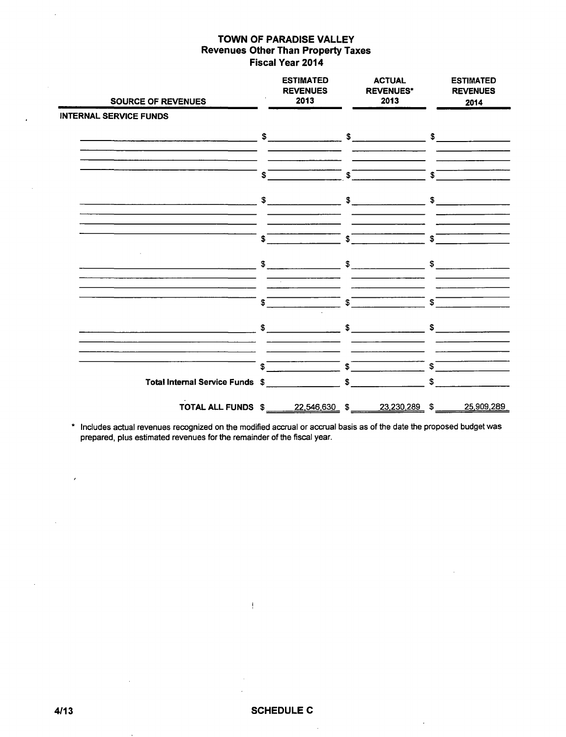| <b>SOURCE OF REVENUES</b>       |                                        | <b>ESTIMATED</b><br><b>REVENUES</b><br>2013 |    | <b>ACTUAL</b><br><b>REVENUES*</b><br>2013 |    | <b>ESTIMATED</b><br><b>REVENUES</b><br>2014 |
|---------------------------------|----------------------------------------|---------------------------------------------|----|-------------------------------------------|----|---------------------------------------------|
| <b>INTERNAL SERVICE FUNDS</b>   |                                        |                                             |    |                                           |    |                                             |
|                                 |                                        |                                             |    |                                           |    | $\mathfrak s$                               |
|                                 | S                                      |                                             | \$ |                                           | \$ |                                             |
|                                 | $\frac{1}{2}$                          |                                             | \$ |                                           | \$ |                                             |
|                                 | \$                                     |                                             | \$ |                                           | \$ |                                             |
|                                 | $\mathbb{S}$ . The set of $\mathbb{S}$ |                                             | \$ |                                           | \$ |                                             |
|                                 | S                                      |                                             | \$ |                                           | \$ |                                             |
|                                 | $\mathfrak s$                          |                                             | S. |                                           | \$ |                                             |
|                                 | S.                                     |                                             | \$ |                                           | S  |                                             |
| Total Internal Service Funds \$ |                                        |                                             | \$ |                                           | \$ |                                             |
| TOTAL ALL FUNDS \$2,546,630 \$  |                                        |                                             |    | 23,230,289 \$                             |    | 25,909,289                                  |

\* Includes actual revenues recognized on the modified accrual or accrual basis as of the date the proposed budget was prepared, plus estimated revenues for the remainder of the fiscal year.

 $\sim$ 

 $\epsilon$ 

 $\frac{1}{2}$ 

 $\bar{\beta}$ 

 $\overline{\phantom{a}}$ 

 $\ddot{\phantom{a}}$ 

 $\bar{z}$ 

 $\bar{z}$ 

 $\overline{a}$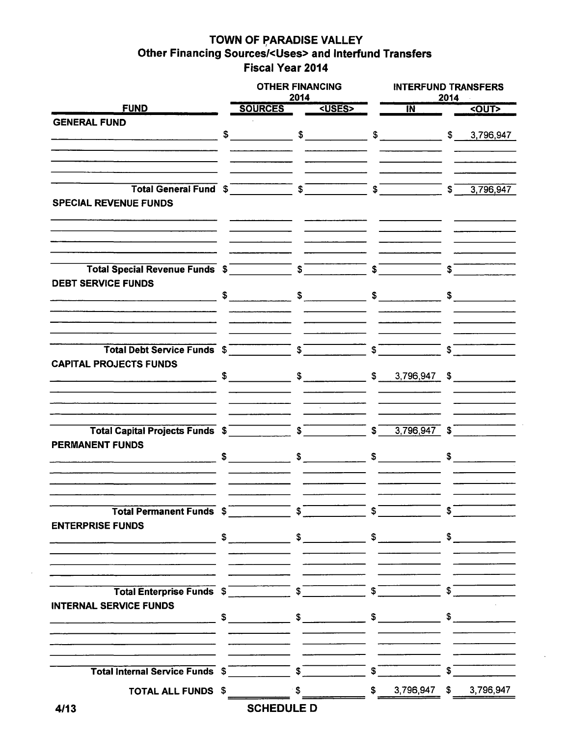## **TOWN OF PARADISE VALLEY** <sup>I</sup> **Other Financing Sources/<Uses> and Interfund Transfers Fiscal Year 2014**

|                                 | <b>OTHER FINANCING</b><br>2014                                                                                                                                                                                                                                                                                                                                                                                                  |  |               |                         | <b>INTERFUND TRANSFERS</b><br>2014                                                                                                                                                                                                                                                                                  |                |                      |  |  |  |  |
|---------------------------------|---------------------------------------------------------------------------------------------------------------------------------------------------------------------------------------------------------------------------------------------------------------------------------------------------------------------------------------------------------------------------------------------------------------------------------|--|---------------|-------------------------|---------------------------------------------------------------------------------------------------------------------------------------------------------------------------------------------------------------------------------------------------------------------------------------------------------------------|----------------|----------------------|--|--|--|--|
| <b>FUND</b>                     | <b>SOURCES</b>                                                                                                                                                                                                                                                                                                                                                                                                                  |  | <uses></uses> |                         | $\overline{M}$                                                                                                                                                                                                                                                                                                      |                | <out></out>          |  |  |  |  |
| <b>GENERAL FUND</b>             |                                                                                                                                                                                                                                                                                                                                                                                                                                 |  |               |                         |                                                                                                                                                                                                                                                                                                                     |                |                      |  |  |  |  |
|                                 | $\sim$                                                                                                                                                                                                                                                                                                                                                                                                                          |  |               |                         | $\frac{1}{2}$ $\frac{1}{2}$ $\frac{1}{2}$ $\frac{1}{2}$ $\frac{1}{2}$ $\frac{1}{2}$ $\frac{1}{2}$ $\frac{1}{2}$ $\frac{1}{2}$ $\frac{1}{2}$ $\frac{1}{2}$ $\frac{1}{2}$ $\frac{1}{2}$ $\frac{1}{2}$ $\frac{1}{2}$ $\frac{1}{2}$ $\frac{1}{2}$ $\frac{1}{2}$ $\frac{1}{2}$ $\frac{1}{2}$ $\frac{1}{2}$ $\frac{1}{2}$ |                |                      |  |  |  |  |
|                                 |                                                                                                                                                                                                                                                                                                                                                                                                                                 |  |               |                         |                                                                                                                                                                                                                                                                                                                     |                |                      |  |  |  |  |
|                                 |                                                                                                                                                                                                                                                                                                                                                                                                                                 |  |               |                         |                                                                                                                                                                                                                                                                                                                     |                |                      |  |  |  |  |
|                                 |                                                                                                                                                                                                                                                                                                                                                                                                                                 |  |               |                         |                                                                                                                                                                                                                                                                                                                     |                |                      |  |  |  |  |
| Total General Fund \$ 5         |                                                                                                                                                                                                                                                                                                                                                                                                                                 |  |               |                         | $ \int$                                                                                                                                                                                                                                                                                                             |                | $-$ \$ 3,796,947     |  |  |  |  |
| <b>SPECIAL REVENUE FUNDS</b>    |                                                                                                                                                                                                                                                                                                                                                                                                                                 |  |               |                         |                                                                                                                                                                                                                                                                                                                     |                |                      |  |  |  |  |
|                                 |                                                                                                                                                                                                                                                                                                                                                                                                                                 |  |               |                         |                                                                                                                                                                                                                                                                                                                     |                |                      |  |  |  |  |
|                                 |                                                                                                                                                                                                                                                                                                                                                                                                                                 |  |               |                         |                                                                                                                                                                                                                                                                                                                     |                |                      |  |  |  |  |
|                                 |                                                                                                                                                                                                                                                                                                                                                                                                                                 |  |               |                         |                                                                                                                                                                                                                                                                                                                     |                |                      |  |  |  |  |
|                                 |                                                                                                                                                                                                                                                                                                                                                                                                                                 |  |               |                         |                                                                                                                                                                                                                                                                                                                     |                |                      |  |  |  |  |
| Total Special Revenue Funds \$  |                                                                                                                                                                                                                                                                                                                                                                                                                                 |  |               | $\overline{\mathbf{s}}$ |                                                                                                                                                                                                                                                                                                                     | $\mathsf{s}^-$ |                      |  |  |  |  |
| <b>DEBT SERVICE FUNDS</b>       |                                                                                                                                                                                                                                                                                                                                                                                                                                 |  |               |                         |                                                                                                                                                                                                                                                                                                                     |                |                      |  |  |  |  |
|                                 | $\frac{1}{2}$ $\frac{1}{2}$ $\frac{1}{2}$ $\frac{1}{2}$ $\frac{1}{2}$ $\frac{1}{2}$ $\frac{1}{2}$ $\frac{1}{2}$ $\frac{1}{2}$ $\frac{1}{2}$ $\frac{1}{2}$ $\frac{1}{2}$ $\frac{1}{2}$ $\frac{1}{2}$ $\frac{1}{2}$ $\frac{1}{2}$ $\frac{1}{2}$ $\frac{1}{2}$ $\frac{1}{2}$ $\frac{1}{2}$ $\frac{1}{2}$ $\frac{1}{2}$                                                                                                             |  |               |                         | $\sim$                                                                                                                                                                                                                                                                                                              |                | $\frac{1}{\sqrt{2}}$ |  |  |  |  |
|                                 |                                                                                                                                                                                                                                                                                                                                                                                                                                 |  |               |                         |                                                                                                                                                                                                                                                                                                                     |                |                      |  |  |  |  |
|                                 |                                                                                                                                                                                                                                                                                                                                                                                                                                 |  |               |                         |                                                                                                                                                                                                                                                                                                                     |                |                      |  |  |  |  |
|                                 |                                                                                                                                                                                                                                                                                                                                                                                                                                 |  |               |                         |                                                                                                                                                                                                                                                                                                                     |                |                      |  |  |  |  |
|                                 |                                                                                                                                                                                                                                                                                                                                                                                                                                 |  |               |                         |                                                                                                                                                                                                                                                                                                                     | ີ \$ີ          |                      |  |  |  |  |
| <b>CAPITAL PROJECTS FUNDS</b>   |                                                                                                                                                                                                                                                                                                                                                                                                                                 |  |               |                         |                                                                                                                                                                                                                                                                                                                     |                |                      |  |  |  |  |
|                                 | $\frac{1}{2}$ \$ 3,796,947 \$                                                                                                                                                                                                                                                                                                                                                                                                   |  |               |                         |                                                                                                                                                                                                                                                                                                                     |                |                      |  |  |  |  |
|                                 |                                                                                                                                                                                                                                                                                                                                                                                                                                 |  |               |                         |                                                                                                                                                                                                                                                                                                                     |                |                      |  |  |  |  |
|                                 |                                                                                                                                                                                                                                                                                                                                                                                                                                 |  |               |                         |                                                                                                                                                                                                                                                                                                                     |                |                      |  |  |  |  |
|                                 |                                                                                                                                                                                                                                                                                                                                                                                                                                 |  |               |                         |                                                                                                                                                                                                                                                                                                                     |                |                      |  |  |  |  |
| Total Capital Projects Funds \$ |                                                                                                                                                                                                                                                                                                                                                                                                                                 |  |               |                         | $\sqrt{3,796,947}$ \$                                                                                                                                                                                                                                                                                               |                |                      |  |  |  |  |
|                                 |                                                                                                                                                                                                                                                                                                                                                                                                                                 |  |               |                         |                                                                                                                                                                                                                                                                                                                     |                |                      |  |  |  |  |
| <b>PERMANENT FUNDS</b>          | $\frac{1}{\sqrt{1-\frac{1}{2}}}\frac{1}{\sqrt{1-\frac{1}{2}}}\frac{1}{\sqrt{1-\frac{1}{2}}}\frac{1}{\sqrt{1-\frac{1}{2}}}\frac{1}{\sqrt{1-\frac{1}{2}}}\frac{1}{\sqrt{1-\frac{1}{2}}}\frac{1}{\sqrt{1-\frac{1}{2}}}\frac{1}{\sqrt{1-\frac{1}{2}}}\frac{1}{\sqrt{1-\frac{1}{2}}}\frac{1}{\sqrt{1-\frac{1}{2}}}\frac{1}{\sqrt{1-\frac{1}{2}}}\frac{1}{\sqrt{1-\frac{1}{2}}}\frac{1}{\sqrt{1-\frac{1}{2}}}\frac{1}{\sqrt{1-\frac{$ |  | $\mathfrak s$ |                         |                                                                                                                                                                                                                                                                                                                     |                | $\sim$               |  |  |  |  |
|                                 |                                                                                                                                                                                                                                                                                                                                                                                                                                 |  |               |                         | $\sim$                                                                                                                                                                                                                                                                                                              |                |                      |  |  |  |  |
|                                 |                                                                                                                                                                                                                                                                                                                                                                                                                                 |  |               |                         |                                                                                                                                                                                                                                                                                                                     |                |                      |  |  |  |  |
|                                 |                                                                                                                                                                                                                                                                                                                                                                                                                                 |  |               |                         |                                                                                                                                                                                                                                                                                                                     |                |                      |  |  |  |  |
|                                 |                                                                                                                                                                                                                                                                                                                                                                                                                                 |  |               |                         |                                                                                                                                                                                                                                                                                                                     |                |                      |  |  |  |  |
| Total Permanent Funds \$        |                                                                                                                                                                                                                                                                                                                                                                                                                                 |  |               |                         |                                                                                                                                                                                                                                                                                                                     |                |                      |  |  |  |  |
| <b>ENTERPRISE FUNDS</b>         |                                                                                                                                                                                                                                                                                                                                                                                                                                 |  |               |                         |                                                                                                                                                                                                                                                                                                                     |                |                      |  |  |  |  |
|                                 |                                                                                                                                                                                                                                                                                                                                                                                                                                 |  |               |                         |                                                                                                                                                                                                                                                                                                                     |                |                      |  |  |  |  |
|                                 |                                                                                                                                                                                                                                                                                                                                                                                                                                 |  |               |                         |                                                                                                                                                                                                                                                                                                                     |                |                      |  |  |  |  |
|                                 |                                                                                                                                                                                                                                                                                                                                                                                                                                 |  |               |                         |                                                                                                                                                                                                                                                                                                                     |                |                      |  |  |  |  |
|                                 |                                                                                                                                                                                                                                                                                                                                                                                                                                 |  |               |                         |                                                                                                                                                                                                                                                                                                                     |                |                      |  |  |  |  |
|                                 |                                                                                                                                                                                                                                                                                                                                                                                                                                 |  |               |                         |                                                                                                                                                                                                                                                                                                                     |                |                      |  |  |  |  |
| <b>INTERNAL SERVICE FUNDS</b>   |                                                                                                                                                                                                                                                                                                                                                                                                                                 |  |               |                         |                                                                                                                                                                                                                                                                                                                     |                |                      |  |  |  |  |
|                                 |                                                                                                                                                                                                                                                                                                                                                                                                                                 |  |               |                         |                                                                                                                                                                                                                                                                                                                     |                |                      |  |  |  |  |
|                                 |                                                                                                                                                                                                                                                                                                                                                                                                                                 |  |               |                         |                                                                                                                                                                                                                                                                                                                     |                |                      |  |  |  |  |
|                                 |                                                                                                                                                                                                                                                                                                                                                                                                                                 |  |               |                         |                                                                                                                                                                                                                                                                                                                     |                |                      |  |  |  |  |
|                                 |                                                                                                                                                                                                                                                                                                                                                                                                                                 |  |               |                         |                                                                                                                                                                                                                                                                                                                     |                |                      |  |  |  |  |
|                                 |                                                                                                                                                                                                                                                                                                                                                                                                                                 |  |               |                         |                                                                                                                                                                                                                                                                                                                     |                |                      |  |  |  |  |
| <b>TOTAL ALL FUNDS \$</b>       |                                                                                                                                                                                                                                                                                                                                                                                                                                 |  |               |                         | $\frac{\$}{\$}$ $\frac{\$}{\$}$ $\frac{3,796,947}{\$}$ $\frac{\$}{\$}$ $\frac{3,796,947}{\$}$                                                                                                                                                                                                                       |                |                      |  |  |  |  |
|                                 | <b>COUPDUL</b>                                                                                                                                                                                                                                                                                                                                                                                                                  |  |               |                         |                                                                                                                                                                                                                                                                                                                     |                |                      |  |  |  |  |

**SCHEDULE D**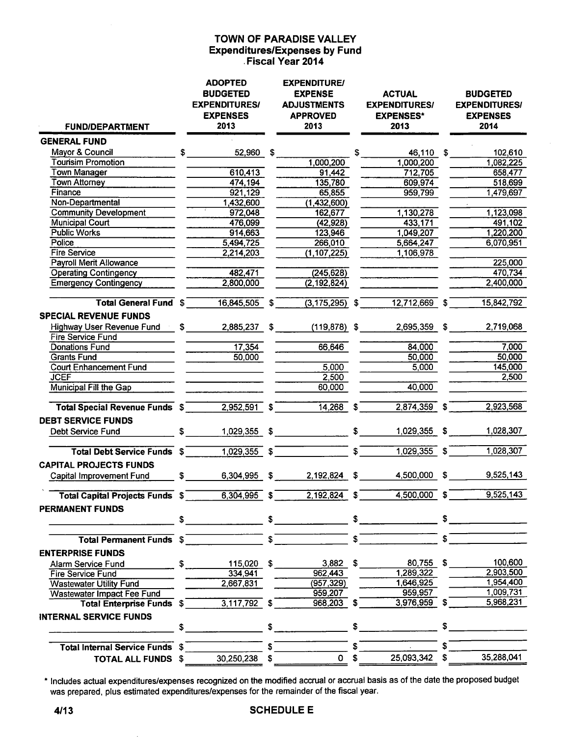#### **TOWN OF PARADISE VALLEY Expenditures/Expenses by Fund**  . **Fiscal Year 2014**

| <b>FUND/DEPARTMENT</b>                 | <b>ADOPTED</b><br><b>BUDGETED</b><br><b>EXPENDITURES/</b><br><b>EXPENSES</b><br>2013 |                |              | <b>EXPENDITURE/</b><br><b>EXPENSE</b><br><b>ADJUSTMENTS</b><br><b>APPROVED</b><br>2013 |     | <b>ACTUAL</b><br><b>EXPENDITURES/</b><br><b>EXPENSES*</b><br>2013 |              | <b>BUDGETED</b><br><b>EXPENDITURES/</b><br><b>EXPENSES</b><br>2014 |  |
|----------------------------------------|--------------------------------------------------------------------------------------|----------------|--------------|----------------------------------------------------------------------------------------|-----|-------------------------------------------------------------------|--------------|--------------------------------------------------------------------|--|
| <b>GENERAL FUND</b>                    |                                                                                      |                |              |                                                                                        |     |                                                                   |              |                                                                    |  |
| Mayor & Council                        | S                                                                                    | 52,960 \$      |              |                                                                                        | S   | 46,110 \$                                                         |              | 102,610                                                            |  |
| <b>Tourisim Promotion</b>              |                                                                                      |                |              | 1,000,200                                                                              |     | 1,000,200                                                         |              | 1,082,225                                                          |  |
| <b>Town Manager</b>                    |                                                                                      | 610,413        |              | 91,442                                                                                 |     | 712,705                                                           |              | 658,477                                                            |  |
| Town Attorney                          |                                                                                      | 474,194        |              | 135,780                                                                                |     | 609,974                                                           |              | 518,699                                                            |  |
| Finance                                |                                                                                      | 921,129        |              | 65,855                                                                                 |     | 959,799                                                           |              | 1,479,697                                                          |  |
| Non-Departmental                       |                                                                                      | 1,432,600      |              | (1,432,600)                                                                            |     |                                                                   |              |                                                                    |  |
| <b>Community Development</b>           |                                                                                      | 972,048        |              | 162,677                                                                                |     | 1,130,278                                                         |              | 1,123,098                                                          |  |
| <b>Municipal Court</b>                 |                                                                                      | 476,099        |              | (42, 928)                                                                              |     | 433,171                                                           |              | 491,102                                                            |  |
| <b>Public Works</b>                    |                                                                                      | 914,663        |              | 123,946                                                                                |     | 1,049,207                                                         |              | 1,220,200                                                          |  |
| Police                                 |                                                                                      | 5,494,725      |              | 266,010                                                                                |     | 5,664,247                                                         |              | 6,070,951                                                          |  |
| <b>Fire Service</b>                    |                                                                                      | 2,214,203      |              | (1, 107, 225)                                                                          |     | 1,106,978                                                         |              |                                                                    |  |
| <b>Payroll Merit Allowance</b>         |                                                                                      |                |              |                                                                                        |     |                                                                   |              | 225,000                                                            |  |
| <b>Operating Contingency</b>           |                                                                                      | 482,471        |              | (245, 628)                                                                             |     |                                                                   |              | 470,734                                                            |  |
| <b>Emergency Contingency</b>           |                                                                                      | 2,800,000      |              | (2, 192, 824)                                                                          |     |                                                                   |              | 2,400,000                                                          |  |
| Total General Fund \$                  |                                                                                      | 16,845,505     | S            | $(3, 175, 295)$ \$                                                                     |     | 12,712,669 \$                                                     |              | 15,842,792                                                         |  |
| <b>SPECIAL REVENUE FUNDS</b>           |                                                                                      |                |              |                                                                                        |     |                                                                   |              |                                                                    |  |
| Highway User Revenue Fund              | $^{\circ}$ \$                                                                        | 2,885,237      | \$           | $(119, 878)$ \$                                                                        |     | 2,695,359 \$                                                      |              | 2,719,068                                                          |  |
| <b>Fire Service Fund</b>               |                                                                                      |                |              |                                                                                        |     |                                                                   |              |                                                                    |  |
| <b>Donations Fund</b>                  |                                                                                      | 17,354         |              | 66,646                                                                                 |     | 84,000                                                            |              | 7,000                                                              |  |
| <b>Grants Fund</b>                     |                                                                                      | 50,000         |              |                                                                                        |     | 50,000                                                            |              | 50,000                                                             |  |
| <b>Court Enhancement Fund</b>          |                                                                                      |                |              | 5,000                                                                                  |     | 5,000                                                             |              | 145,000                                                            |  |
| <b>JCEF</b>                            |                                                                                      |                |              | 2,500                                                                                  |     |                                                                   |              | 2,500                                                              |  |
| Municipal Fill the Gap                 |                                                                                      |                |              | 60,000                                                                                 |     | 40,000                                                            |              |                                                                    |  |
| <b>Total Special Revenue Funds \$</b>  |                                                                                      | 2,952,591      | £            | 14,268                                                                                 |     | $2,874,359$ \$                                                    |              | 2,923,568                                                          |  |
| <b>DEBT SERVICE FUNDS</b>              |                                                                                      |                |              |                                                                                        |     |                                                                   |              |                                                                    |  |
| Debt Service Fund                      | \$                                                                                   | 1,029,355 \$   |              |                                                                                        | \$  | 1,029,355 \$                                                      |              | 1,028,307                                                          |  |
| <b>Total Debt Service Funds \$</b>     |                                                                                      | $1,029,355$ \$ |              |                                                                                        | \$. | $1,029,355$ \$                                                    |              | 1,028,307                                                          |  |
| <b>CAPITAL PROJECTS FUNDS</b>          |                                                                                      |                |              |                                                                                        |     |                                                                   |              |                                                                    |  |
| Capital Improvement Fund               | \$                                                                                   | 6,304,995 \$   |              | 2,192,824 \$                                                                           |     | 4,500,000 \$                                                      |              | 9,525,143                                                          |  |
| <b>Total Capital Projects Funds \$</b> |                                                                                      | 6,304,995      |              | 2,192,824                                                                              |     | 4,500,000                                                         |              | 9,525,143                                                          |  |
| <b>PERMANENT FUNDS</b>                 |                                                                                      |                |              |                                                                                        |     |                                                                   |              |                                                                    |  |
|                                        |                                                                                      | $\mathsf{S}$   |              | S                                                                                      |     |                                                                   | $\mathbf{s}$ |                                                                    |  |
| Total Permanent Funds \$               |                                                                                      |                |              |                                                                                        | S   |                                                                   | $s^-$        |                                                                    |  |
| <b>ENTERPRISE FUNDS</b>                |                                                                                      |                |              |                                                                                        |     |                                                                   |              |                                                                    |  |
| Alarm Service Fund                     | \$                                                                                   | 115,020 \$     |              | $3,882$ \$                                                                             |     | 80,755 \$                                                         |              | 100,600                                                            |  |
| <b>Fire Service Fund</b>               |                                                                                      | 334,941        |              | 962,443                                                                                |     | 1,289,322                                                         |              | 2,903,500                                                          |  |
| <b>Wastewater Utility Fund</b>         |                                                                                      | 2,667,831      |              | (957, 329)                                                                             |     | 1,646,925                                                         |              | 1,954,400                                                          |  |
| Wastewater Impact Fee Fund             |                                                                                      |                |              | 959,207                                                                                |     | 959,957                                                           |              | 1,009,731                                                          |  |
| <b>Total Enterprise Funds \$</b>       |                                                                                      | $3,117,792$ \$ |              | 968,203 \$                                                                             |     | $3,976,959$ \$                                                    |              | 5,968,231                                                          |  |
| <b>INTERNAL SERVICE FUNDS</b>          |                                                                                      |                |              |                                                                                        |     |                                                                   |              |                                                                    |  |
|                                        | \$                                                                                   |                | $\mathbf{s}$ |                                                                                        |     | $\frac{1}{\sqrt{2}}$                                              | \$           |                                                                    |  |
| <b>Total Internal Service Funds \$</b> |                                                                                      |                |              |                                                                                        |     |                                                                   |              |                                                                    |  |
|                                        |                                                                                      |                |              | 0 <sup>5</sup>                                                                         |     | 25,093,342 \$                                                     |              | 35,288,041                                                         |  |
| <b>TOTAL ALL FUNDS \$</b>              |                                                                                      | 30,250,238 \$  |              |                                                                                        |     |                                                                   |              |                                                                    |  |

• Includes actual expenditures/expenses recognized on the modified accrual or accrual basis as of the date the proposed budget was prepared, plus estimated expenditures/expenses for the remainder of the fiscal year.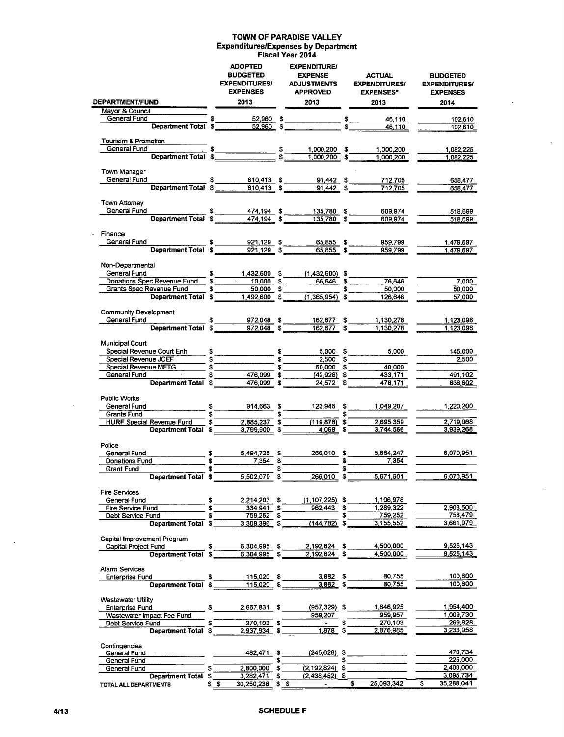#### TOWN OF PARADISE VALLEY Expenditures/Expenses by Department Fiscal Year 2014

 $\ddot{\phantom{0}}$ 

|                                                                                                                                                                                                                                                                                                                                                                                                                                                               | <b>ADOPTED</b><br><b>BUDGETED</b><br><b>EXPENDITURES/</b><br><b>EXPENSES</b>                                                                                                |          | <b>EXPENDITURE/</b><br><b>EXPENSE</b><br><b>ADJUSTMENTS</b><br><b>APPROVED</b> |          | <b>ACTUAL</b><br><b>EXPENDITURES/</b><br><b>EXPENSES*</b> | <b>BUDGETED</b><br><b>EXPENDITURES/</b><br><b>EXPENSES</b> |
|---------------------------------------------------------------------------------------------------------------------------------------------------------------------------------------------------------------------------------------------------------------------------------------------------------------------------------------------------------------------------------------------------------------------------------------------------------------|-----------------------------------------------------------------------------------------------------------------------------------------------------------------------------|----------|--------------------------------------------------------------------------------|----------|-----------------------------------------------------------|------------------------------------------------------------|
| DEPARTMENT/FUND<br>Mayor & Council                                                                                                                                                                                                                                                                                                                                                                                                                            | 2013                                                                                                                                                                        |          | 2013                                                                           |          | 2013                                                      | 2014                                                       |
|                                                                                                                                                                                                                                                                                                                                                                                                                                                               |                                                                                                                                                                             |          |                                                                                |          | 46,110                                                    | 102.610                                                    |
| General Fund <b>Continent Total \$</b> 52,960 \$ \$ 54,110<br>Department Total \$ 52,960 \$ 54,110                                                                                                                                                                                                                                                                                                                                                            |                                                                                                                                                                             |          |                                                                                |          |                                                           | 102,610                                                    |
|                                                                                                                                                                                                                                                                                                                                                                                                                                                               |                                                                                                                                                                             |          |                                                                                |          |                                                           |                                                            |
| Tourisim & Promotion                                                                                                                                                                                                                                                                                                                                                                                                                                          |                                                                                                                                                                             |          |                                                                                |          |                                                           |                                                            |
|                                                                                                                                                                                                                                                                                                                                                                                                                                                               |                                                                                                                                                                             |          |                                                                                |          |                                                           | 1,082,225<br>1.082.225                                     |
|                                                                                                                                                                                                                                                                                                                                                                                                                                                               |                                                                                                                                                                             |          |                                                                                |          |                                                           |                                                            |
| Town Manager                                                                                                                                                                                                                                                                                                                                                                                                                                                  |                                                                                                                                                                             |          |                                                                                |          |                                                           |                                                            |
| General Fund<br>8 610,413 \$ 91,442 \$ 712,705<br>Department Total \$ 610,413 \$ 91,442 \$ 712,705                                                                                                                                                                                                                                                                                                                                                            |                                                                                                                                                                             |          |                                                                                |          |                                                           | 658,477                                                    |
|                                                                                                                                                                                                                                                                                                                                                                                                                                                               |                                                                                                                                                                             |          |                                                                                |          |                                                           | 658,477                                                    |
| Town Attorney                                                                                                                                                                                                                                                                                                                                                                                                                                                 |                                                                                                                                                                             |          |                                                                                |          |                                                           |                                                            |
|                                                                                                                                                                                                                                                                                                                                                                                                                                                               |                                                                                                                                                                             |          |                                                                                |          | 609,974                                                   | 518,699                                                    |
| General Fund 5 474,194 \$ 135,780 \$                                                                                                                                                                                                                                                                                                                                                                                                                          |                                                                                                                                                                             |          |                                                                                |          | 609,974                                                   | 518,699                                                    |
|                                                                                                                                                                                                                                                                                                                                                                                                                                                               |                                                                                                                                                                             |          |                                                                                |          |                                                           |                                                            |
| Finance                                                                                                                                                                                                                                                                                                                                                                                                                                                       |                                                                                                                                                                             |          |                                                                                |          |                                                           |                                                            |
| General Fund<br>Department Total \$1,129 \$1,129 \$1,129 \$1,129 \$1,129 \$1,129 \$1,129 \$1,129 \$1,129 \$1,129 \$1,129 \$1,129 \$1,129 \$1,129 \$1,129 \$1,129 \$1,129 \$1,129 \$1,129 \$1,129 \$1,129 \$1,129 \$1,129 \$1,129 \$1,129 \$1,129 \$1,129 \$1,                                                                                                                                                                                                 |                                                                                                                                                                             |          |                                                                                |          | 959,799<br>959,799                                        | 1,479,697<br>1,479,697                                     |
|                                                                                                                                                                                                                                                                                                                                                                                                                                                               |                                                                                                                                                                             |          |                                                                                |          |                                                           |                                                            |
| Non-Departmental                                                                                                                                                                                                                                                                                                                                                                                                                                              |                                                                                                                                                                             |          |                                                                                |          |                                                           |                                                            |
|                                                                                                                                                                                                                                                                                                                                                                                                                                                               |                                                                                                                                                                             |          |                                                                                |          |                                                           |                                                            |
| General Fund<br>Donations Spec Revenue Fund<br>Samme School Samme School School School School School School School School School School School School School School School School School School School School School School School                                                                                                                                                                                                                            |                                                                                                                                                                             |          |                                                                                |          | 66,646 \$ 76,646                                          | 7,000                                                      |
|                                                                                                                                                                                                                                                                                                                                                                                                                                                               |                                                                                                                                                                             |          |                                                                                |          | 50,000                                                    | 50,000                                                     |
|                                                                                                                                                                                                                                                                                                                                                                                                                                                               |                                                                                                                                                                             |          |                                                                                |          | 126,646                                                   | 57,000                                                     |
| Community Development                                                                                                                                                                                                                                                                                                                                                                                                                                         |                                                                                                                                                                             |          |                                                                                |          |                                                           |                                                            |
| General Fund                                                                                                                                                                                                                                                                                                                                                                                                                                                  |                                                                                                                                                                             |          |                                                                                |          |                                                           | 1,123,098                                                  |
| $\begin{array}{c cccccc} & \text{\$} & \text{\$} & \text{\$} & \text{\$} & \text{\$} & \text{\$} & \text{\$} & \text{\$} & \text{\$} & \text{\$} & \text{\$} & \text{\$} & \text{\$} & \text{\$} & \text{\$} & \text{\$} & \text{\$} & \text{\$} & \text{\$} & \text{\$} & \text{\$} & \text{\$} & \text{\$} & \text{\$} & \text{\$} & \text{\$} & \text{\$} & \text{\$} & \text{\$} & \text{\$} & \text{\$} & \text{\$} & \text{\$} & \text{\$} & \text{\$}$ |                                                                                                                                                                             |          |                                                                                |          | 1,130,278                                                 | 1,123,098                                                  |
|                                                                                                                                                                                                                                                                                                                                                                                                                                                               |                                                                                                                                                                             |          |                                                                                |          |                                                           |                                                            |
| Municipal Court                                                                                                                                                                                                                                                                                                                                                                                                                                               |                                                                                                                                                                             |          |                                                                                |          |                                                           |                                                            |
|                                                                                                                                                                                                                                                                                                                                                                                                                                                               |                                                                                                                                                                             |          |                                                                                |          | $\frac{5,000}{2,500}$ \$<br>5,000                         | 145,000                                                    |
| Special Revenue JCEF<br>Special Revenue MFTG \$                                                                                                                                                                                                                                                                                                                                                                                                               |                                                                                                                                                                             |          | $60,000$ \$                                                                    |          | 40,000                                                    | 2,500                                                      |
| General Fund and the control of the control of the control of the control of the control of the control of the                                                                                                                                                                                                                                                                                                                                                | $\frac{1}{3}$ $\frac{476,099}{5}$ $\frac{1}{3}$ $\frac{1}{3}$ $\frac{1}{3}$ $\frac{1}{3}$ $\frac{1}{3}$                                                                     |          |                                                                                |          | 433,171                                                   | 491,102                                                    |
| Department Total \$                                                                                                                                                                                                                                                                                                                                                                                                                                           | 476,099 \$                                                                                                                                                                  |          | 24,572 \$                                                                      |          | 478,171                                                   | 638,602                                                    |
|                                                                                                                                                                                                                                                                                                                                                                                                                                                               |                                                                                                                                                                             |          |                                                                                |          |                                                           |                                                            |
| <b>Public Works</b>                                                                                                                                                                                                                                                                                                                                                                                                                                           |                                                                                                                                                                             |          |                                                                                |          |                                                           |                                                            |
| General Fund<br>Grants Fund<br>Grants Fund<br>Company S                                                                                                                                                                                                                                                                                                                                                                                                       | $914,663$ \$<br>$\overline{\phantom{a}}\hspace{0.1cm}$ $\overline{\phantom{a}}\hspace{0.1cm}$ $\overline{\phantom{a}}\hspace{0.1cm}$ $\overline{\phantom{a}}\hspace{0.1cm}$ |          | 123,946 \$                                                                     |          | 1.049,207                                                 | 1,220,200                                                  |
| HURF Special Revenue Fund \$                                                                                                                                                                                                                                                                                                                                                                                                                                  | $2,885,237$ \$                                                                                                                                                              |          | $\overline{(119,878)}$ \$                                                      |          | 2,695,359                                                 | 2,719,068                                                  |
| Department Total \$ 3,799,900 \$                                                                                                                                                                                                                                                                                                                                                                                                                              |                                                                                                                                                                             |          | $-4.068$ \$                                                                    |          | 3.744.566                                                 | 3,939,268                                                  |
|                                                                                                                                                                                                                                                                                                                                                                                                                                                               |                                                                                                                                                                             |          |                                                                                |          |                                                           |                                                            |
| Police                                                                                                                                                                                                                                                                                                                                                                                                                                                        |                                                                                                                                                                             |          |                                                                                |          |                                                           |                                                            |
| General Fund                                                                                                                                                                                                                                                                                                                                                                                                                                                  | 5,494,725 \$                                                                                                                                                                |          | 266,010 \$                                                                     |          | 5,664,247                                                 | 6,070,951                                                  |
| Donations Fund<br>Grant Fund                                                                                                                                                                                                                                                                                                                                                                                                                                  | $\frac{1}{2}$ 5 7,354 \$                                                                                                                                                    | \$       |                                                                                | S        | 7.354                                                     |                                                            |
| Department Total \$                                                                                                                                                                                                                                                                                                                                                                                                                                           | $5,502,079$ \$                                                                                                                                                              |          | 266,010 \$                                                                     |          | 5,671,601                                                 | 6,070,951                                                  |
|                                                                                                                                                                                                                                                                                                                                                                                                                                                               |                                                                                                                                                                             |          |                                                                                |          |                                                           |                                                            |
| <b>Fire Services</b>                                                                                                                                                                                                                                                                                                                                                                                                                                          |                                                                                                                                                                             |          |                                                                                |          |                                                           |                                                            |
| General Fund<br>\$                                                                                                                                                                                                                                                                                                                                                                                                                                            | 2,214,203 \$                                                                                                                                                                |          | $(1, 107, 225)$ \$                                                             |          | 1,106,978                                                 |                                                            |
| Fire Service Fund                                                                                                                                                                                                                                                                                                                                                                                                                                             | 334,941                                                                                                                                                                     | \$       | 962.443                                                                        | S        | 1,289,322                                                 | 2,903,500<br>758.479                                       |
| Debt Service Fund<br>\$<br>Department Total \$                                                                                                                                                                                                                                                                                                                                                                                                                | 759,252 \$<br>$3,308,396$ \$                                                                                                                                                |          | (144,782) \$                                                                   | \$       | 759,252<br>3,155,552                                      | 3,661,979                                                  |
|                                                                                                                                                                                                                                                                                                                                                                                                                                                               |                                                                                                                                                                             |          |                                                                                |          |                                                           |                                                            |
| Capital Improvement Program                                                                                                                                                                                                                                                                                                                                                                                                                                   |                                                                                                                                                                             |          |                                                                                |          |                                                           |                                                            |
| Capital Project Fund<br>\$                                                                                                                                                                                                                                                                                                                                                                                                                                    | 6,304,995 \$                                                                                                                                                                |          | 2,192,824 \$                                                                   |          | 4,500,000                                                 | 9,525,143                                                  |
| Department Total \$                                                                                                                                                                                                                                                                                                                                                                                                                                           | 6,304,995 \$                                                                                                                                                                |          | 2,192,824 \$                                                                   |          | 4,500,000                                                 | 9,525,143                                                  |
| Alarm Services                                                                                                                                                                                                                                                                                                                                                                                                                                                |                                                                                                                                                                             |          |                                                                                |          |                                                           |                                                            |
| Enterprise Fund<br>\$                                                                                                                                                                                                                                                                                                                                                                                                                                         | $115,020$ \$                                                                                                                                                                |          | $3,882$ \$                                                                     |          | 80,755                                                    | 100,600                                                    |
| Department Total \$                                                                                                                                                                                                                                                                                                                                                                                                                                           | $115,020$ \$                                                                                                                                                                |          | $3,882$ \$                                                                     |          | 80,755                                                    | 100,600                                                    |
|                                                                                                                                                                                                                                                                                                                                                                                                                                                               |                                                                                                                                                                             |          |                                                                                |          |                                                           |                                                            |
| <b>Wastewater Utility</b>                                                                                                                                                                                                                                                                                                                                                                                                                                     |                                                                                                                                                                             |          |                                                                                |          |                                                           |                                                            |
| <b>Enterprise Fund</b><br>\$                                                                                                                                                                                                                                                                                                                                                                                                                                  | 2,667,831 \$                                                                                                                                                                |          | $(957, 329)$ \$                                                                |          | 1,646,925<br>959,957                                      | 1,954,400<br>1,009,730                                     |
| Wastewater Impact Fee Fund<br>Debt Service Fund                                                                                                                                                                                                                                                                                                                                                                                                               | 270,103 \$                                                                                                                                                                  |          | 959,207<br><b>Contractor</b>                                                   | \$       | 270,103                                                   | 269,828                                                    |
| Department Total \$                                                                                                                                                                                                                                                                                                                                                                                                                                           | 2.937,934 \$                                                                                                                                                                |          | 1,878                                                                          | \$       | 2,876,985                                                 | 3,233,958                                                  |
|                                                                                                                                                                                                                                                                                                                                                                                                                                                               |                                                                                                                                                                             |          |                                                                                |          |                                                           |                                                            |
| Contingencies                                                                                                                                                                                                                                                                                                                                                                                                                                                 |                                                                                                                                                                             |          |                                                                                |          |                                                           |                                                            |
| General Fund<br>General Fund                                                                                                                                                                                                                                                                                                                                                                                                                                  | 482,471                                                                                                                                                                     | \$<br>\$ | (245,628)                                                                      | \$<br>\$ |                                                           | 470,734<br>225,000                                         |
| S<br>General Fund                                                                                                                                                                                                                                                                                                                                                                                                                                             | 2,800,000                                                                                                                                                                   | S.       | (2,192,824)                                                                    | \$       |                                                           | 2,400,000                                                  |
| Department Total \$                                                                                                                                                                                                                                                                                                                                                                                                                                           | 3,282,471                                                                                                                                                                   |          | $(2,438,452)$ \$                                                               |          |                                                           | 3,095,734                                                  |
| TOTAL ALL DEPARTMENTS                                                                                                                                                                                                                                                                                                                                                                                                                                         | 30,250,238 \$ \$<br>\$\$                                                                                                                                                    |          | $\overline{\phantom{a}}$                                                       | \$       | 25,093,342                                                | \$<br>35,288,041                                           |

 $\bar{z}$ 

 $\bar{z}$